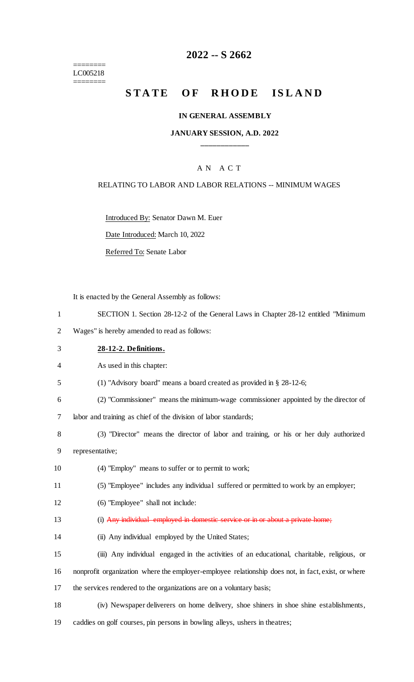======== LC005218 ========

### **2022 -- S 2662**

# **STATE OF RHODE ISLAND**

#### **IN GENERAL ASSEMBLY**

### **JANUARY SESSION, A.D. 2022 \_\_\_\_\_\_\_\_\_\_\_\_**

### A N A C T

#### RELATING TO LABOR AND LABOR RELATIONS -- MINIMUM WAGES

Introduced By: Senator Dawn M. Euer

Date Introduced: March 10, 2022

Referred To: Senate Labor

It is enacted by the General Assembly as follows:

- 1 SECTION 1. Section 28-12-2 of the General Laws in Chapter 28-12 entitled "Minimum
- 2 Wages" is hereby amended to read as follows:
- 3 **28-12-2. Definitions.**
- 4 As used in this chapter:
- 5 (1) "Advisory board" means a board created as provided in § 28-12-6;
- 6 (2) "Commissioner" means the minimum-wage commissioner appointed by the director of

7 labor and training as chief of the division of labor standards;

- 8 (3) "Director" means the director of labor and training, or his or her duly authorized 9 representative;
- 10 (4) "Employ" means to suffer or to permit to work;
- 11 (5) "Employee" includes any individual suffered or permitted to work by an employer;
- 12 (6) "Employee" shall not include:
- 13 (i) Any individual employed in domestic service or in or about a private home;
- 14 (ii) Any individual employed by the United States;
- 15 (iii) Any individual engaged in the activities of an educational, charitable, religious, or
- 16 nonprofit organization where the employer-employee relationship does not, in fact, exist, or where
- 17 the services rendered to the organizations are on a voluntary basis;
- 18 (iv) Newspaper deliverers on home delivery, shoe shiners in shoe shine establishments,
- 19 caddies on golf courses, pin persons in bowling alleys, ushers in theatres;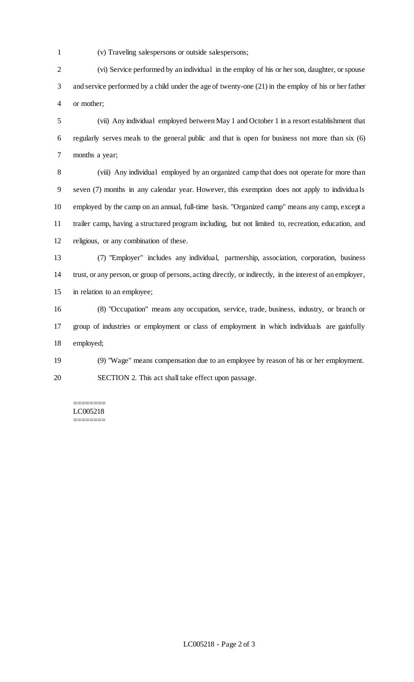- 
- (v) Traveling salespersons or outside salespersons;

 (vi) Service performed by an individual in the employ of his or her son, daughter, or spouse and service performed by a child under the age of twenty-one (21) in the employ of his or her father or mother;

 (vii) Any individual employed between May 1 and October 1 in a resort establishment that regularly serves meals to the general public and that is open for business not more than six (6) months a year;

 (viii) Any individual employed by an organized camp that does not operate for more than seven (7) months in any calendar year. However, this exemption does not apply to individua ls employed by the camp on an annual, full-time basis. "Organized camp" means any camp, except a trailer camp, having a structured program including, but not limited to, recreation, education, and religious, or any combination of these.

 (7) "Employer" includes any individual, partnership, association, corporation, business trust, or any person, or group of persons, acting directly, or indirectly, in the interest of an employer, in relation to an employee;

 (8) "Occupation" means any occupation, service, trade, business, industry, or branch or group of industries or employment or class of employment in which individuals are gainfully employed;

 (9) "Wage" means compensation due to an employee by reason of his or her employment. SECTION 2. This act shall take effect upon passage.

======== LC005218 ========